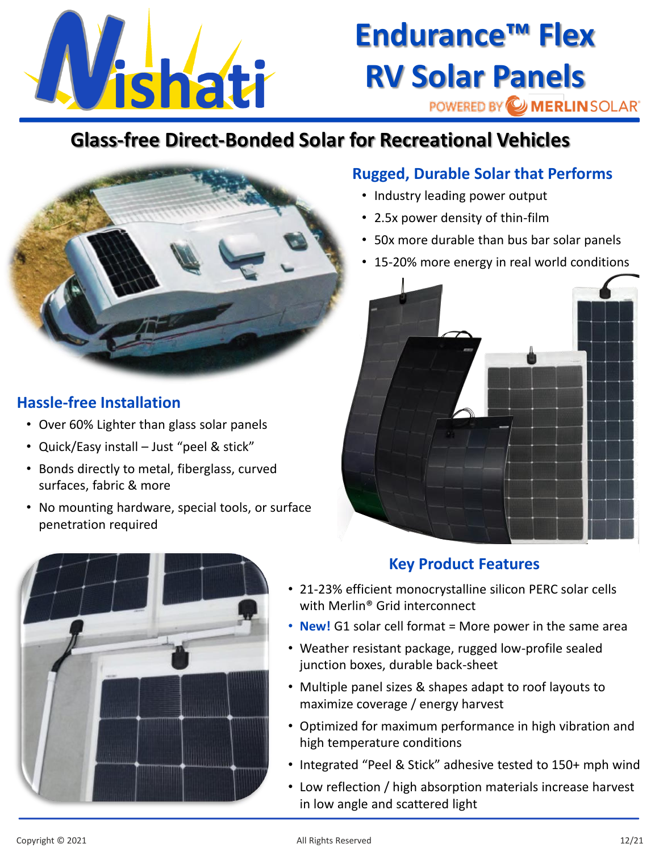

## **Endurance™ Flex RV Solar Panels**

POWERED BY WERLIN SOLAR'

### **Glass-free Direct-Bonded Solar for Recreational Vehicles**



#### **Hassle-free Installation**

- Over 60% Lighter than glass solar panels
- Quick/Easy install Just "peel & stick"
- Bonds directly to metal, fiberglass, curved surfaces, fabric & more
- No mounting hardware, special tools, or surface penetration required

#### **Rugged, Durable Solar that Performs**

- Industry leading power output
- 2.5x power density of thin-film
- 50x more durable than bus bar solar panels
- 15-20% more energy in real world conditions



#### **Key Product Features**

- 21-23% efficient monocrystalline silicon PERC solar cells with Merlin® Grid interconnect
- **New!** G1 solar cell format = More power in the same area
- Weather resistant package, rugged low-profile sealed junction boxes, durable back-sheet
- Multiple panel sizes & shapes adapt to roof layouts to maximize coverage / energy harvest
- Optimized for maximum performance in high vibration and high temperature conditions
- Integrated "Peel & Stick" adhesive tested to 150+ mph wind
- Low reflection / high absorption materials increase harvest in low angle and scattered light